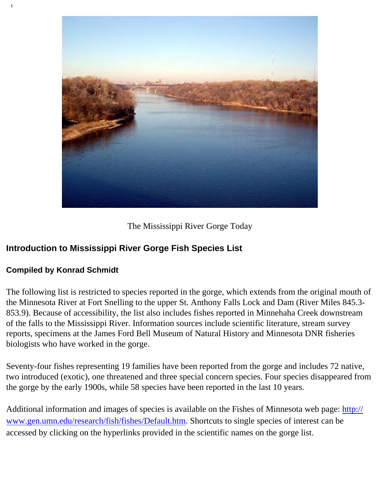

The Mississippi River Gorge Today

## **Introduction to Mississippi River Gorge Fish Species List**

## **Compiled by Konrad Schmidt**

The following list is restricted to species reported in the gorge, which extends from the original mouth of the Minnesota River at Fort Snelling to the upper St. Anthony Falls Lock and Dam (River Miles 845.3- 853.9). Because of accessibility, the list also includes fishes reported in Minnehaha Creek downstream of the falls to the Mississippi River. Information sources include scientific literature, stream survey reports, specimens at the James Ford Bell Museum of Natural History and Minnesota DNR fisheries biologists who have worked in the gorge.

Seventy-four fishes representing 19 families have been reported from the gorge and includes 72 native, two introduced (exotic), one threatened and three special concern species. Four species disappeared from the gorge by the early 1900s, while 58 species have been reported in the last 10 years.

Additional information and images of species is available on the Fishes of Minnesota web page: [http://](http://www.gen.umn.edu/research/fish/fishes/Default.htm) [www.gen.umn.edu/research/fish/fishes/Default.htm](http://www.gen.umn.edu/research/fish/fishes/Default.htm). Shortcuts to single species of interest can be accessed by clicking on the hyperlinks provided in the scientific names on the gorge list.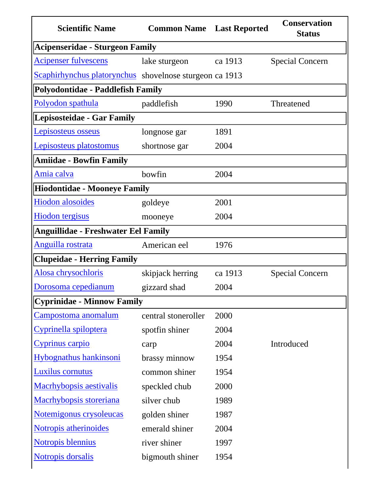|                                                         | <b>Common Name</b> Last Reported<br><b>Status</b> | <b>Conservation</b> |
|---------------------------------------------------------|---------------------------------------------------|---------------------|
| <b>Acipenseridae - Sturgeon Family</b>                  |                                                   |                     |
| <b>Acipenser fulvescens</b><br>lake sturgeon            | ca 1913<br><b>Special Concern</b>                 |                     |
| Scaphirhynchus platorynchus shovelnose sturgeon ca 1913 |                                                   |                     |
| Polyodontidae - Paddlefish Family                       |                                                   |                     |
| Polyodon spathula<br>paddlefish                         | 1990<br>Threatened                                |                     |
| Lepisosteidae - Gar Family                              |                                                   |                     |
| Lepisosteus osseus<br>longnose gar                      | 1891                                              |                     |
| Lepisosteus platostomus<br>shortnose gar                | 2004                                              |                     |
| <b>Amiidae - Bowfin Family</b>                          |                                                   |                     |
| Amia calva<br>bowfin                                    | 2004                                              |                     |
| <b>Hiodontidae - Mooneye Family</b>                     |                                                   |                     |
| <b>Hiodon</b> alosoides<br>goldeye                      | 2001                                              |                     |
| <b>Hiodon</b> tergisus<br>mooneye                       | 2004                                              |                     |
| <b>Anguillidae - Freshwater Eel Family</b>              |                                                   |                     |
| Anguilla rostrata<br>American eel                       | 1976                                              |                     |
| <b>Clupeidae - Herring Family</b>                       |                                                   |                     |
| Alosa chrysochloris<br>skipjack herring                 | ca 1913<br><b>Special Concern</b>                 |                     |
| Dorosoma cepedianum<br>gizzard shad                     | 2004                                              |                     |
| <b>Cyprinidae - Minnow Family</b>                       |                                                   |                     |
| <u>Campostoma anomalum</u><br>central stoneroller       | 2000                                              |                     |
| Cyprinella spiloptera<br>spotfin shiner                 | 2004                                              |                     |
| Cyprinus carpio<br>carp                                 | 2004<br>Introduced                                |                     |
| Hybognathus hankinsoni<br>brassy minnow                 | 1954                                              |                     |
| <b>Luxilus cornutus</b><br>common shiner                | 1954                                              |                     |
| <b>Macrhybopsis aestivalis</b><br>speckled chub         | 2000                                              |                     |
| Macrhybopsis storeriana<br>silver chub                  | 1989                                              |                     |
| Notemigonus crysoleucas<br>golden shiner                | 1987                                              |                     |
| Notropis atherinoides<br>emerald shiner                 | 2004                                              |                     |
| <b>Notropis blennius</b><br>river shiner                | 1997                                              |                     |
| <b>Notropis dorsalis</b><br>bigmouth shiner             | 1954                                              |                     |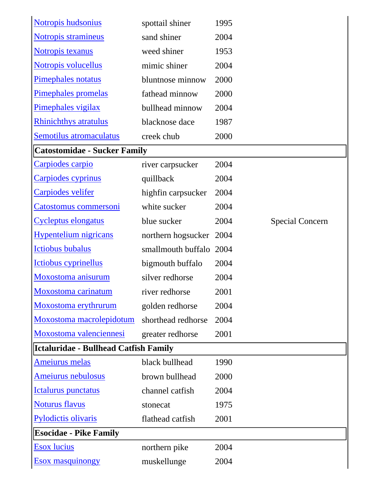| Notropis hudsonius                    | spottail shiner    | 1995 |                        |
|---------------------------------------|--------------------|------|------------------------|
| Notropis stramineus                   | sand shiner        | 2004 |                        |
| Notropis texanus                      | weed shiner        | 1953 |                        |
| Notropis volucellus                   | mimic shiner       | 2004 |                        |
| Pimephales notatus                    | bluntnose minnow   | 2000 |                        |
| Pimephales promelas                   | fathead minnow     | 2000 |                        |
| Pimephales vigilax                    | bullhead minnow    | 2004 |                        |
| <b>Rhinichthys atratulus</b>          | blacknose dace     | 1987 |                        |
| Semotilus atromaculatus               | creek chub         | 2000 |                        |
| <b>Catostomidae - Sucker Family</b>   |                    |      |                        |
| Carpiodes carpio                      | river carpsucker   | 2004 |                        |
| Carpiodes cyprinus                    | quillback          | 2004 |                        |
| Carpiodes velifer                     | hightin carpsucker | 2004 |                        |
| Catostomus commersoni                 | white sucker       | 2004 |                        |
| Cycleptus elongatus                   | blue sucker        | 2004 | <b>Special Concern</b> |
| <b>Hypentelium nigricans</b>          | northern hogsucker | 2004 |                        |
| <b>Ictiobus bubalus</b>               | smallmouth buffalo | 2004 |                        |
| Ictiobus cyprinellus                  | bigmouth buffalo   | 2004 |                        |
| Moxostoma anisurum                    | silver redhorse    | 2004 |                        |
| Moxostoma carinatum                   | river redhorse     | 2001 |                        |
| Moxostoma erythrurum                  | golden redhorse    | 2004 |                        |
| Moxostoma macrolepidotum              | shorthead redhorse | 2004 |                        |
| Moxostoma valenciennesi               | greater redhorse   | 2001 |                        |
| Ictaluridae - Bullhead Catfish Family |                    |      |                        |
| <b>Ameiurus melas</b>                 | black bullhead     | 1990 |                        |
| Ameiurus nebulosus                    | brown bullhead     | 2000 |                        |
| Ictalurus punctatus                   | channel catfish    | 2004 |                        |
| <b>Noturus flavus</b>                 | stonecat           | 1975 |                        |
| Pylodictis olivaris                   | flathead catfish   | 2001 |                        |
| <b>Esocidae - Pike Family</b>         |                    |      |                        |
| <b>Esox</b> lucius                    | northern pike      | 2004 |                        |
| <b>Esox masquinongy</b>               | muskellunge        | 2004 |                        |
|                                       |                    |      |                        |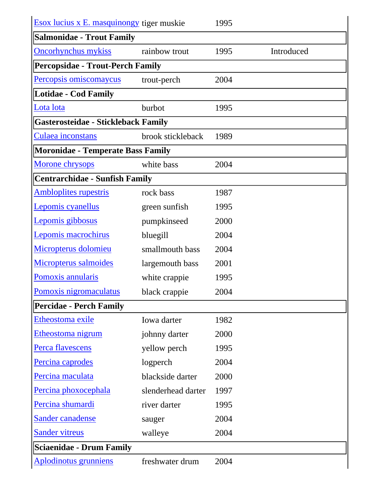| <b>Esox lucius x E. masquinongy tiger muskie</b> |                    | 1995 |            |  |  |
|--------------------------------------------------|--------------------|------|------------|--|--|
| <b>Salmonidae - Trout Family</b>                 |                    |      |            |  |  |
| <b>Oncorhynchus mykiss</b>                       | rainbow trout      | 1995 | Introduced |  |  |
| <b>Percopsidae - Trout-Perch Family</b>          |                    |      |            |  |  |
| Percopsis omiscomaycus                           | trout-perch        | 2004 |            |  |  |
| <b>Lotidae - Cod Family</b>                      |                    |      |            |  |  |
| Lota lota                                        | burbot             | 1995 |            |  |  |
| <b>Gasterosteidae - Stickleback Family</b>       |                    |      |            |  |  |
| Culaea inconstans                                | brook stickleback  | 1989 |            |  |  |
| <b>Moronidae - Temperate Bass Family</b>         |                    |      |            |  |  |
| Morone chrysops                                  | white bass         | 2004 |            |  |  |
| <b>Centrarchidae - Sunfish Family</b>            |                    |      |            |  |  |
| <b>Ambloplites rupestris</b>                     | rock bass          | 1987 |            |  |  |
| Lepomis cyanellus                                | green sunfish      | 1995 |            |  |  |
| Lepomis gibbosus                                 | pumpkinseed        | 2000 |            |  |  |
| Lepomis macrochirus                              | bluegill           | 2004 |            |  |  |
| Micropterus dolomieu                             | smallmouth bass    | 2004 |            |  |  |
| Micropterus salmoides                            | largemouth bass    | 2001 |            |  |  |
| Pomoxis annularis                                | white crappie      | 1995 |            |  |  |
| Pomoxis nigromaculatus                           | black crappie      | 2004 |            |  |  |
| <b>Percidae - Perch Family</b>                   |                    |      |            |  |  |
| Etheostoma exile                                 | Iowa darter        | 1982 |            |  |  |
| Etheostoma nigrum                                | johnny darter      | 2000 |            |  |  |
| Perca flavescens                                 | yellow perch       | 1995 |            |  |  |
| Percina caprodes                                 | logperch           | 2004 |            |  |  |
| Percina maculata                                 | blackside darter   | 2000 |            |  |  |
| Percina phoxocephala                             | slenderhead darter | 1997 |            |  |  |
| Percina shumardi                                 | river darter       | 1995 |            |  |  |
| <b>Sander canadense</b>                          | sauger             | 2004 |            |  |  |
| <b>Sander vitreus</b>                            | walleye            | 2004 |            |  |  |
| <b>Sciaenidae - Drum Family</b>                  |                    |      |            |  |  |
| <b>Aplodinotus grunniens</b>                     | freshwater drum    | 2004 |            |  |  |